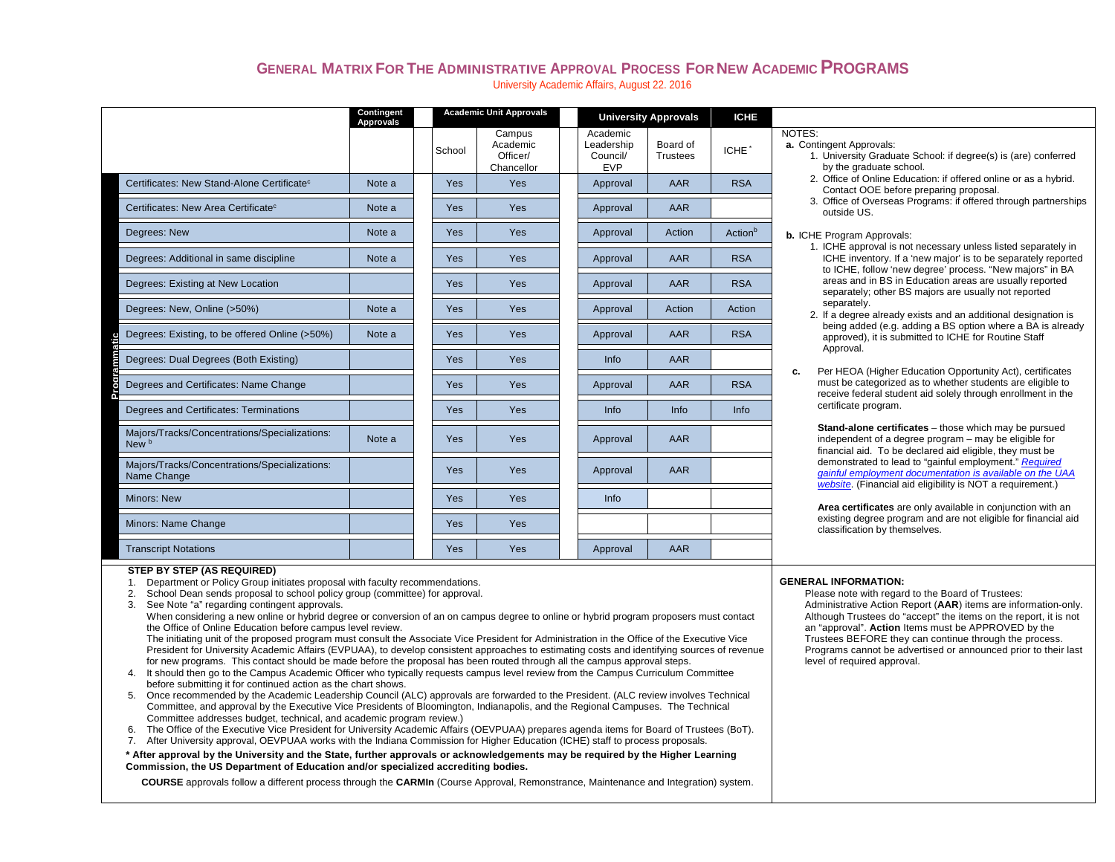## **GENERAL MATRIX FOR THE ADMINISTRATIVE APPROVAL PROCESS FOR NEW ACADEMIC PROGRAMS**University Academic Affairs, August 22. 2016

|                                                              | Contingent<br><b>Approvals</b> |            | <b>Academic Unit Approvals</b>               |          |                                                  | <b>University Approvals</b> | <b>ICHE</b>                                                                                                |                                                                                                                                                                                                  |  |  |  |  |
|--------------------------------------------------------------|--------------------------------|------------|----------------------------------------------|----------|--------------------------------------------------|-----------------------------|------------------------------------------------------------------------------------------------------------|--------------------------------------------------------------------------------------------------------------------------------------------------------------------------------------------------|--|--|--|--|
|                                                              |                                | School     | Campus<br>Academic<br>Officer/<br>Chancellor |          | Academic<br>Leadership<br>Council/<br><b>EVP</b> | Board of<br><b>Trustees</b> | ICHE <sup>*</sup>                                                                                          | NOTES:<br>a. Contingent Approvals:<br>1. University Graduate School: if degree(s) is (are) conferred<br>by the graduate school.                                                                  |  |  |  |  |
| Certificates: New Stand-Alone Certificate <sup>c</sup>       | Note a                         | <b>Yes</b> | <b>Yes</b><br>Yes                            | Approval | AAR                                              | <b>RSA</b>                  | 2. Office of Online Education: if offered online or as a hybrid.<br>Contact OOE before preparing proposal. |                                                                                                                                                                                                  |  |  |  |  |
| Certificates: New Area Certificate <sup>c</sup>              | Note a                         | <b>Yes</b> |                                              |          | Approval                                         | AAR                         |                                                                                                            | 3. Office of Overseas Programs: if offered through partnerships<br>outside US.                                                                                                                   |  |  |  |  |
| Degrees: New                                                 | Note a                         | Yes        | Yes                                          |          | Approval                                         | Action                      | Action <sup>b</sup>                                                                                        | <b>b.</b> ICHE Program Approvals:                                                                                                                                                                |  |  |  |  |
| Degrees: Additional in same discipline                       | Note a                         | Yes        | Yes                                          |          | Approval                                         | AAR                         | <b>RSA</b>                                                                                                 | 1. ICHE approval is not necessary unless listed separately in<br>ICHE inventory. If a 'new major' is to be separately reported<br>to ICHE, follow 'new degree' process. "New majors" in BA       |  |  |  |  |
| Degrees: Existing at New Location                            |                                | <b>Yes</b> | Yes                                          |          | Approval                                         | AAR                         | <b>RSA</b>                                                                                                 | areas and in BS in Education areas are usually reported<br>separately; other BS majors are usually not reported<br>separately.<br>2. If a degree already exists and an additional designation is |  |  |  |  |
| Degrees: New, Online (>50%)                                  | Note a                         | <b>Yes</b> | <b>Yes</b>                                   | Approval | Action                                           | Action                      |                                                                                                            |                                                                                                                                                                                                  |  |  |  |  |
| Degrees: Existing, to be offered Online (>50%)               | Note a                         | <b>Yes</b> | <b>Yes</b>                                   |          | Approval                                         | AAR                         | <b>RSA</b>                                                                                                 | being added (e.g. adding a BS option where a BA is already<br>approved), it is submitted to ICHE for Routine Staff                                                                               |  |  |  |  |
| Degrees: Dual Degrees (Both Existing)                        |                                | <b>Yes</b> | <b>Yes</b>                                   |          | Info                                             | AAR                         |                                                                                                            | Approval.<br>Per HEOA (Higher Education Opportunity Act), certificates<br>c.                                                                                                                     |  |  |  |  |
| <u>Proorammatic</u><br>Degrees and Certificates: Name Change |                                | <b>Yes</b> | Yes                                          |          | Approval                                         | AAR                         | <b>RSA</b>                                                                                                 | must be categorized as to whether students are eligible to<br>receive federal student aid solely through enrollment in the                                                                       |  |  |  |  |
| Degrees and Certificates: Terminations                       |                                | <b>Yes</b> | <b>Yes</b>                                   |          | Info                                             | Info                        | <b>Info</b>                                                                                                | certificate program.                                                                                                                                                                             |  |  |  |  |
| Majors/Tracks/Concentrations/Specializations:<br>New b       | Note a                         | Yes        | Yes                                          |          | Approval                                         | AAR                         |                                                                                                            | Stand-alone certificates - those which may be pursued<br>independent of a degree program – may be eligible for<br>financial aid. To be declared aid eligible, they must be                       |  |  |  |  |
| Majors/Tracks/Concentrations/Specializations:<br>Name Change |                                | Yes        | <b>Yes</b>                                   |          | Approval                                         | AAR                         |                                                                                                            | demonstrated to lead to "gainful employment." Required<br>gainful employment documentation is available on the UAA<br>website. (Financial aid eligibility is NOT a requirement.)                 |  |  |  |  |
| <b>Minors: New</b>                                           |                                | <b>Yes</b> | <b>Yes</b>                                   |          | Info                                             |                             |                                                                                                            | Area certificates are only available in conjunction with an                                                                                                                                      |  |  |  |  |
| Minors: Name Change                                          |                                | Yes        | Yes                                          |          |                                                  |                             |                                                                                                            | existing degree program and are not eligible for financial aid<br>classification by themselves.                                                                                                  |  |  |  |  |
| <b>Transcript Notations</b>                                  |                                | <b>Yes</b> | <b>Yes</b>                                   |          | Approval                                         | AAR                         |                                                                                                            |                                                                                                                                                                                                  |  |  |  |  |

### **STEP BY STEP (AS REQUIRED)**

1. Department or Policy Group initiates proposal with faculty recommendations.

- 2. School Dean sends proposal to school policy group (committee) for approval.
- 3. See Note "a" regarding contingent approvals.

When considering a new online or hybrid degree or conversion of an on campus degree to online or hybrid program proposers must contact the Office of Online Education before campus level review.

The initiating unit of the proposed program must consult the Associate Vice President for Administration in the Office of the Executive Vice President for University Academic Affairs (EVPUAA), to develop consistent approaches to estimating costs and identifying sources of revenue for new programs. This contact should be made before the proposal has been routed through all the campus approval steps.

- 4. It should then go to the Campus Academic Officer who typically requests campus level review from the Campus Curriculum Committee before submitting it for continued action as the chart shows.
- 5. Once recommended by the Academic Leadership Council (ALC) approvals are forwarded to the President. (ALC review involves Technical Committee, and approval by the Executive Vice Presidents of Bloomington, Indianapolis, and the Regional Campuses. The Technical Committee addresses budget, technical, and academic program review.)
- 6. The Office of the Executive Vice President for University Academic Affairs (OEVPUAA) prepares agenda items for Board of Trustees (BoT).
- 7. After University approval, OEVPUAA works with the Indiana Commission for Higher Education (ICHE) staff to process proposals.

**\* After approval by the University and the State, further approvals or acknowledgements may be required by the Higher Learning Commission, the US Department of Education and/or specialized accrediting bodies.**

**COURSE** approvals follow a different process through the **CARMIn** (Course Approval, Remonstrance, Maintenance and Integration) system.

#### **GENERAL INFORMATION:**

Please note with regard to the Board of Trustees: Administrative Action Report (**AAR**) items are information-only. Although Trustees do "accept" the items on the report, it is not an "approval". **Action** Items must be APPROVED by the Trustees BEFORE they can continue through the process. Programs cannot be advertised or announced prior to their last level of required approval.